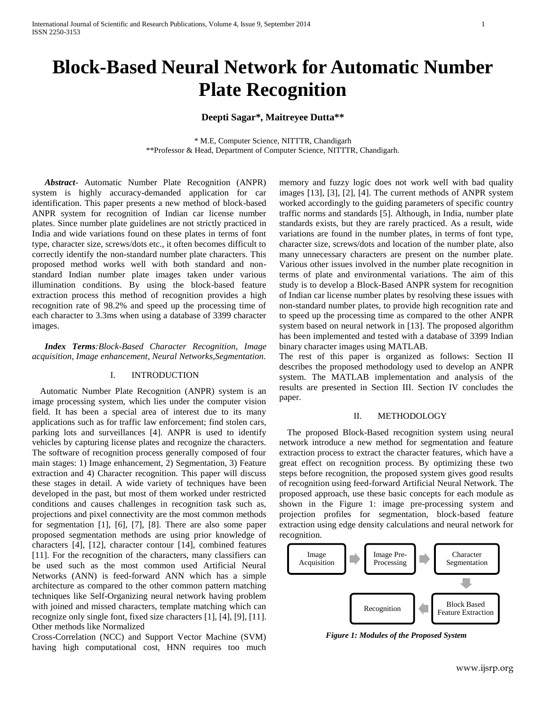# **Block-Based Neural Network for Automatic Number Plate Recognition**

# **Deepti Sagar\*, Maitreyee Dutta\*\***

\* M.E, Computer Science, NITTTR, Chandigarh \*\*Professor & Head, Department of Computer Science, NITTTR, Chandigarh.

*Abstract*- Automatic Number Plate Recognition (ANPR) system is highly accuracy-demanded application for car identification. This paper presents a new method of block-based ANPR system for recognition of Indian car license number plates. Since number plate guidelines are not strictly practiced in India and wide variations found on these plates in terms of font type, character size, screws/dots etc., it often becomes difficult to correctly identify the non-standard number plate characters. This proposed method works well with both standard and nonstandard Indian number plate images taken under various illumination conditions. By using the block-based feature extraction process this method of recognition provides a high recognition rate of 98.2% and speed up the processing time of each character to 3.3ms when using a database of 3399 character images.

*Index Terms:Block-Based Character Recognition, Image acquisition, Image enhancement, Neural Networks,Segmentation.*

# I. INTRODUCTION

Automatic Number Plate Recognition (ANPR) system is an image processing system, which lies under the computer vision field. It has been a special area of interest due to its many applications such as for traffic law enforcement; find stolen cars, parking lots and surveillances [4]. ANPR is used to identify vehicles by capturing license plates and recognize the characters. The software of recognition process generally composed of four main stages: 1) Image enhancement, 2) Segmentation, 3) Feature extraction and 4) Character recognition. This paper will discuss these stages in detail. A wide variety of techniques have been developed in the past, but most of them worked under restricted conditions and causes challenges in recognition task such as, projections and pixel connectivity are the most common methods for segmentation [1], [6], [7], [8]. There are also some paper proposed segmentation methods are using prior knowledge of characters [4], [12], character contour [14], combined features [11]. For the recognition of the characters, many classifiers can be used such as the most common used Artificial Neural Networks (ANN) is feed-forward ANN which has a simple architecture as compared to the other common pattern matching techniques like Self-Organizing neural network having problem with joined and missed characters, template matching which can recognize only single font, fixed size characters [1], [4], [9], [11]. Other methods like Normalized

Cross-Correlation (NCC) and Support Vector Machine (SVM) having high computational cost, HNN requires too much memory and fuzzy logic does not work well with bad quality images [13], [3], [2], [4]. The current methods of ANPR system worked accordingly to the guiding parameters of specific country traffic norms and standards [5]. Although, in India, number plate standards exists, but they are rarely practiced. As a result, wide variations are found in the number plates, in terms of font type, character size, screws/dots and location of the number plate, also many unnecessary characters are present on the number plate. Various other issues involved in the number plate recognition in terms of plate and environmental variations. The aim of this study is to develop a Block-Based ANPR system for recognition of Indian car license number plates by resolving these issues with non-standard number plates, to provide high recognition rate and to speed up the processing time as compared to the other ANPR system based on neural network in [13]. The proposed algorithm has been implemented and tested with a database of 3399 Indian binary character images using MATLAB.

The rest of this paper is organized as follows: Section II describes the proposed methodology used to develop an ANPR system. The MATLAB implementation and analysis of the results are presented in Section III. Section IV concludes the paper.

#### II. METHODOLOGY

The proposed Block-Based recognition system using neural network introduce a new method for segmentation and feature extraction process to extract the character features, which have a great effect on recognition process. By optimizing these two steps before recognition, the proposed system gives good results of recognition using feed-forward Artificial Neural Network. The proposed approach, use these basic concepts for each module as shown in the Figure 1: image pre-processing system and projection profiles for segmentation, block-based feature extraction using edge density calculations and neural network for recognition.



*Figure 1: Modules of the Proposed System*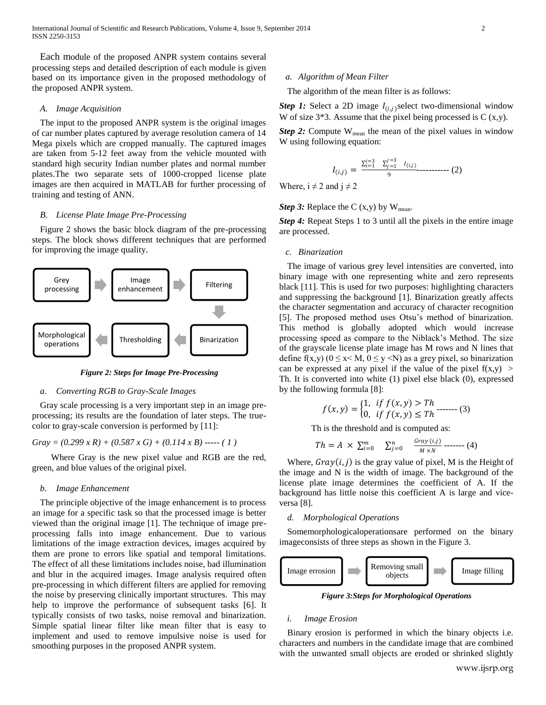International Journal of Scientific and Research Publications, Volume 4, Issue 9, September 2014 2 ISSN 2250-3153

Each module of the proposed ANPR system contains several processing steps and detailed description of each module is given based on its importance given in the proposed methodology of the proposed ANPR system.

## *A. Image Acquisition*

The input to the proposed ANPR system is the original images of car number plates captured by average resolution camera of 14 Mega pixels which are cropped manually. The captured images are taken from 5-12 feet away from the vehicle mounted with standard high security Indian number plates and normal number plates.The two separate sets of 1000-cropped license plate images are then acquired in MATLAB for further processing of training and testing of ANN.

### *B. License Plate Image Pre-Processing*

Figure 2 shows the basic block diagram of the pre-processing steps. The block shows different techniques that are performed for improving the image quality.



*Figure 2: Steps for Image Pre-Processing*

## *a. Converting RGB to Gray-Scale Images*

Gray scale processing is a very important step in an image preprocessing; its results are the foundation of later steps. The truecolor to gray-scale conversion is performed by [11]:

 $Gray = (0.299 \times R) + (0.587 \times G) + (0.114 \times B)$  ----- (1)

Where Gray is the new pixel value and RGB are the red, green, and blue values of the original pixel.

# *b. Image Enhancement*

The principle objective of the image enhancement is to process an image for a specific task so that the processed image is better viewed than the original image [1]. The technique of image preprocessing falls into image enhancement. Due to various limitations of the image extraction devices, images acquired by them are prone to errors like spatial and temporal limitations. The effect of all these limitations includes noise, bad illumination and blur in the acquired images. Image analysis required often pre-processing in which different filters are applied for removing the noise by preserving clinically important structures. This may help to improve the performance of subsequent tasks [6]. It typically consists of two tasks, noise removal and binarization. Simple spatial linear filter like mean filter that is easy to implement and used to remove impulsive noise is used for smoothing purposes in the proposed ANPR system.

#### *a. Algorithm of Mean Filter*

The algorithm of the mean filter is as follows:

**Step 1:** Select a 2D image  $I_{(i,j)}$  select two-dimensional window W of size  $3*3$ . Assume that the pixel being processed is C  $(x,y)$ .

*Step 2:* Compute  $W_{mean}$  the mean of the pixel values in window W using following equation:

$$
I_{(i,j)} = \frac{\sum_{i=1}^{i=3} \sum_{j=1}^{j=3} I_{(i,j)}}{9} \dots \dots \dots \dots \dots \tag{2}
$$

Where,  $i \neq 2$  and  $j \neq 2$ 

*Step 3:* Replace the C  $(x,y)$  by  $W_{mean}$ .

*Step 4:* Repeat Steps 1 to 3 until all the pixels in the entire image are processed.

# *c. Binarization*

The image of various grey level intensities are converted, into binary image with one representing white and zero represents black [11]. This is used for two purposes: highlighting characters and suppressing the background [1]. Binarization greatly affects the character segmentation and accuracy of character recognition [5]. The proposed method uses Otsu's method of binarization. This method is globally adopted which would increase processing speed as compare to the Niblack"s Method. The size of the grayscale license plate image has M rows and N lines that define f(x,y) ( $0 \le x \le M$ ,  $0 \le y \le N$ ) as a grey pixel, so binarization can be expressed at any pixel if the value of the pixel  $f(x,y)$ Th. It is converted into white (1) pixel else black (0), expressed by the following formula [8]:

$$
f(x,y) = \begin{cases} 1, & \text{if } f(x,y) > Th \\ 0, & \text{if } f(x,y) \le Th \end{cases}
$$
 (3)

Th is the threshold and is computed as:

$$
Th = A \times \sum_{i=0}^{m} \sum_{j=0}^{n} \frac{Gray(i,j)}{M \times N} \dots \dots \tag{4}
$$

Where,  $Gray(i, j)$  is the gray value of pixel, M is the Height of the image and N is the width of image. The background of the license plate image determines the coefficient of A. If the background has little noise this coefficient A is large and viceversa [8].

# *d. Morphological Operations*

Somemorphologicaloperationsare performed on the binary imageconsists of three steps as shown in the Figure 3.



*Figure 3:Steps for Morphological Operations*

#### *i. Image Erosion*

Binary erosion is performed in which the binary objects i.e. characters and numbers in the candidate image that are combined with the unwanted small objects are eroded or shrinked slightly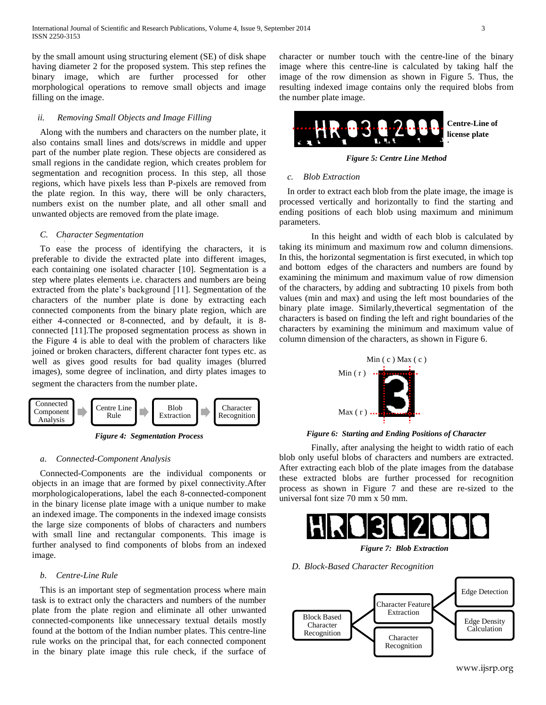by the small amount using structuring element (SE) of disk shape having diameter 2 for the proposed system. This step refines the binary image, which are further processed for other morphological operations to remove small objects and image filling on the image.

# *ii. Removing Small Objects and Image Filling*

Along with the numbers and characters on the number plate, it also contains small lines and dots/screws in middle and upper part of the number plate region. These objects are considered as small regions in the candidate region, which creates problem for segmentation and recognition process. In this step, all those regions, which have pixels less than P-pixels are removed from the plate region. In this way, there will be only characters, numbers exist on the number plate, and all other small and unwanted objects are removed from the plate image.

### *C. Character Segmentation*

*\*

To ease the process of identifying the characters, it is preferable to divide the extracted plate into different images, each containing one isolated character [10]. Segmentation is a step where plates elements i.e. characters and numbers are being extracted from the plate"s background [11]. Segmentation of the characters of the number plate is done by extracting each connected components from the binary plate region, which are either 4-connected or 8-connected, and by default, it is 8 connected [11].The proposed segmentation process as shown in the Figure 4 is able to deal with the problem of characters like joined or broken characters, different character font types etc. as well as gives good results for bad quality images (blurred images), some degree of inclination, and dirty plates images to segment the characters from the number plate.



*Figure 4: Segmentation Process*

## *a. Connected-Component Analysis*

Connected-Components are the individual components or objects in an image that are formed by pixel connectivity.After morphologicaloperations, label the each 8-connected-component in the binary license plate image with a unique number to make an indexed image. The components in the indexed image consists the large size components of blobs of characters and numbers with small line and rectangular components. This image is further analysed to find components of blobs from an indexed image.

## *b. Centre-Line Rule*

This is an important step of segmentation process where main task is to extract only the characters and numbers of the number plate from the plate region and eliminate all other unwanted connected-components like unnecessary textual details mostly found at the bottom of the Indian number plates. This centre-line rule works on the principal that, for each connected component in the binary plate image this rule check, if the surface of character or number touch with the centre-line of the binary image where this centre-line is calculated by taking half the image of the row dimension as shown in Figure 5. Thus, the resulting indexed image contains only the required blobs from the number plate image.



*Figure 5: Centre Line Method*

# *c. Blob Extraction*

In order to extract each blob from the plate image, the image is processed vertically and horizontally to find the starting and ending positions of each blob using maximum and minimum parameters.

In this height and width of each blob is calculated by taking its minimum and maximum row and column dimensions. In this, the horizontal segmentation is first executed, in which top and bottom edges of the characters and numbers are found by examining the minimum and maximum value of row dimension of the characters, by adding and subtracting 10 pixels from both values (min and max) and using the left most boundaries of the binary plate image. Similarly,thevertical segmentation of the characters is based on finding the left and right boundaries of the characters by examining the minimum and maximum value of column dimension of the characters, as shown in Figure 6.



#### *Figure 6: Starting and Ending Positions of Character*

Finally, after analysing the height to width ratio of each blob only useful blobs of characters and numbers are extracted. After extracting each blob of the plate images from the database these extracted blobs are further processed for recognition process as shown in Figure 7 and these are re-sized to the universal font size 70 mm x 50 mm.



*Figure 7: Blob Extraction*



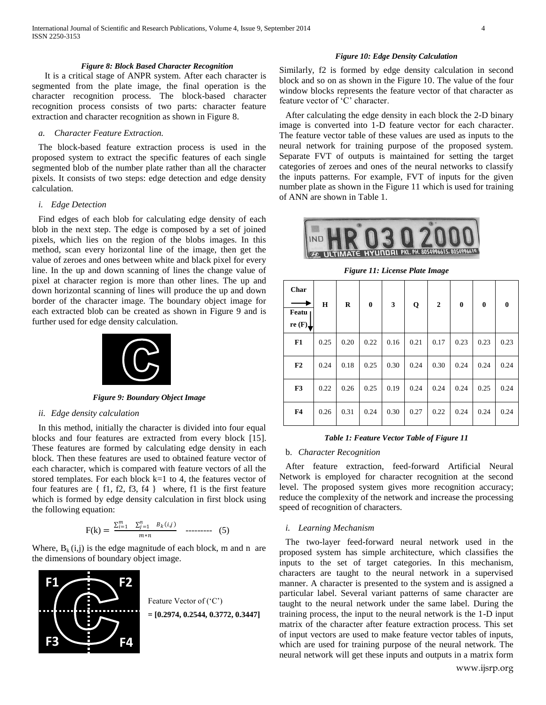#### *Figure 8: Block Based Character Recognition*

It is a critical stage of ANPR system. After each character is segmented from the plate image, the final operation is the character recognition process. The block-based character recognition process consists of two parts: character feature extraction and character recognition as shown in Figure 8.

# *a. Character Feature Extraction.*

The block-based feature extraction process is used in the proposed system to extract the specific features of each single segmented blob of the number plate rather than all the character pixels. It consists of two steps: edge detection and edge density calculation.

#### *i. Edge Detection*

Find edges of each blob for calculating edge density of each blob in the next step. The edge is composed by a set of joined pixels, which lies on the region of the blobs images. In this method, scan every horizontal line of the image, then get the value of zeroes and ones between white and black pixel for every line. In the up and down scanning of lines the change value of pixel at character region is more than other lines. The up and down horizontal scanning of lines will produce the up and down border of the character image. The boundary object image for each extracted blob can be created as shown in Figure 9 and is further used for edge density calculation.



*Figure 9: Boundary Object Image*

#### *ii. Edge density calculation*

In this method, initially the character is divided into four equal blocks and four features are extracted from every block [15]. These features are formed by calculating edge density in each block. Then these features are used to obtained feature vector of each character, which is compared with feature vectors of all the stored templates. For each block k=1 to 4, the features vector of four features are { f1, f2, f3, f4 } where, f1 is the first feature which is formed by edge density calculation in first block using the following equation:

$$
F(k) = \frac{\sum_{i=1}^{m} \sum_{j=1}^{n} B_k(i,j)}{m*n} \quad \text{........}
$$
 (5)

Where,  $B_k(i,j)$  is the edge magnitude of each block, m and n are the dimensions of boundary object image.



#### *Figure 10: Edge Density Calculation*

Similarly, f2 is formed by edge density calculation in second block and so on as shown in the Figure 10. The value of the four window blocks represents the feature vector of that character as feature vector of 'C' character.

After calculating the edge density in each block the 2-D binary image is converted into 1-D feature vector for each character. The feature vector table of these values are used as inputs to the neural network for training purpose of the proposed system. Separate FVT of outputs is maintained for setting the target categories of zeroes and ones of the neural networks to classify the inputs patterns. For example, FVT of inputs for the given number plate as shown in the Figure 11 which is used for training of ANN are shown in Table 1.



*Figure 11: License Plate Image*

| Char<br>Featu<br>re $(F)$ | H    | R    | $\bf{0}$ | 3    | Q    | $\mathbf{2}$ | $\mathbf{0}$ | $\bf{0}$ | $\mathbf{0}$ |
|---------------------------|------|------|----------|------|------|--------------|--------------|----------|--------------|
| F1                        | 0.25 | 0.20 | 0.22     | 0.16 | 0.21 | 0.17         | 0.23         | 0.23     | 0.23         |
| F2                        | 0.24 | 0.18 | 0.25     | 0.30 | 0.24 | 0.30         | 0.24         | 0.24     | 0.24         |
| F <sub>3</sub>            | 0.22 | 0.26 | 0.25     | 0.19 | 0.24 | 0.24         | 0.24         | 0.25     | 0.24         |
| F <sub>4</sub>            | 0.26 | 0.31 | 0.24     | 0.30 | 0.27 | 0.22         | 0.24         | 0.24     | 0.24         |

#### *Table 1: Feature Vector Table of Figure 11*

#### b. *Character Recognition*

After feature extraction, feed-forward Artificial Neural Network is employed for character recognition at the second level. The proposed system gives more recognition accuracy; reduce the complexity of the network and increase the processing speed of recognition of characters.

#### *i. Learning Mechanism*

The two-layer feed-forward neural network used in the proposed system has simple architecture, which classifies the inputs to the set of target categories. In this mechanism, characters are taught to the neural network in a supervised manner. A character is presented to the system and is assigned a particular label. Several variant patterns of same character are taught to the neural network under the same label. During the training process, the input to the neural network is the 1-D input matrix of the character after feature extraction process. This set of input vectors are used to make feature vector tables of inputs, which are used for training purpose of the neural network. The neural network will get these inputs and outputs in a matrix form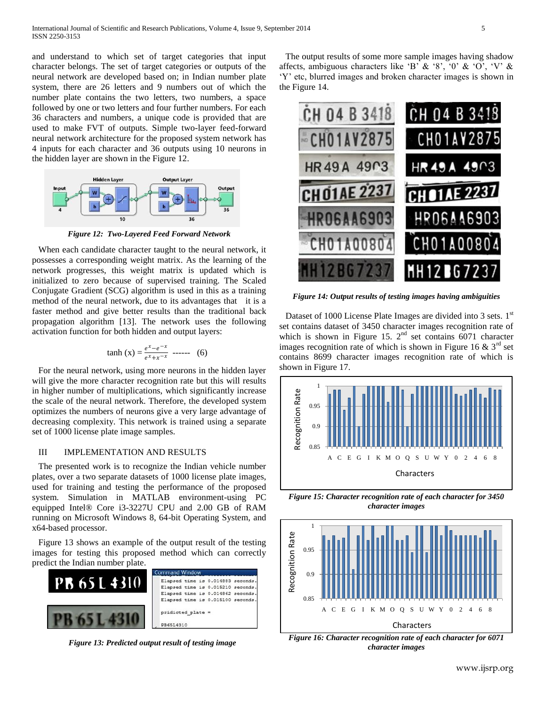and understand to which set of target categories that input character belongs. The set of target categories or outputs of the neural network are developed based on; in Indian number plate system, there are 26 letters and 9 numbers out of which the number plate contains the two letters, two numbers, a space followed by one or two letters and four further numbers. For each 36 characters and numbers, a unique code is provided that are used to make FVT of outputs. Simple two-layer feed-forward neural network architecture for the proposed system network has 4 inputs for each character and 36 outputs using 10 neurons in the hidden layer are shown in the Figure 12.



*Figure 12: Two-Layered Feed Forward Network*

When each candidate character taught to the neural network, it possesses a corresponding weight matrix. As the learning of the network progresses, this weight matrix is updated which is initialized to zero because of supervised training. The Scaled Conjugate Gradient (SCG) algorithm is used in this as a training method of the neural network, due to its advantages that it is a faster method and give better results than the traditional back propagation algorithm [13]. The network uses the following activation function for both hidden and output layers:

$$
\tanh(x) = \frac{e^x - e^{-x}}{e^x + x^{-x}} \text{ ----} \quad (6)
$$

For the neural network, using more neurons in the hidden layer will give the more character recognition rate but this will results in higher number of multiplications, which significantly increase the scale of the neural network. Therefore, the developed system optimizes the numbers of neurons give a very large advantage of decreasing complexity. This network is trained using a separate set of 1000 license plate image samples.

# III IMPLEMENTATION AND RESULTS

The presented work is to recognize the Indian vehicle number plates, over a two separate datasets of 1000 license plate images, used for training and testing the performance of the proposed system. Simulation in MATLAB environment-using PC equipped Intel® Core i3-3227U CPU and 2.00 GB of RAM running on Microsoft Windows 8, 64-bit Operating System, and x64-based processor.

Figure 13 shows an example of the output result of the testing images for testing this proposed method which can correctly predict the Indian number plate.



*Figure 13: Predicted output result of testing image*

The output results of some more sample images having shadow affects, ambiguous characters like 'B' & '8', '0' & 'O', 'V' & "Y" etc, blurred images and broken character images is shown in the Figure 14.



*Figure 14: Output results of testing images having ambiguities*

Dataset of 1000 License Plate Images are divided into 3 sets. 1<sup>st</sup> set contains dataset of 3450 character images recognition rate of which is shown in Figure 15.  $2<sup>nd</sup>$  set contains 6071 character images recognition rate of which is shown in Figure 16  $\&$  3<sup>rd</sup> set contains 8699 character images recognition rate of which is shown in Figure 17.



*Figure 15: Character recognition rate of each character for 3450 character images*



*Figure 16: Character recognition rate of each character for 6071 character images*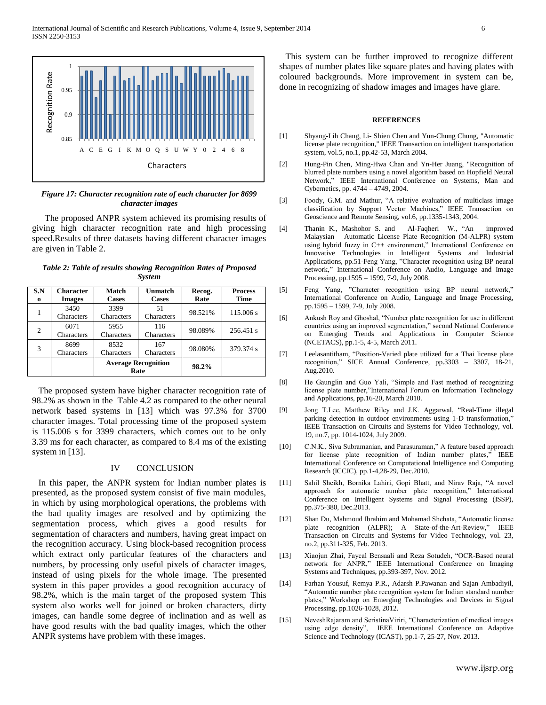

# *Figure 17: Character recognition rate of each character for 8699 character images*

The proposed ANPR system achieved its promising results of giving high character recognition rate and high processing speed.Results of three datasets having different character images are given in Table 2.

| Table 2: Table of results showing Recognition Rates of Proposed |               |  |  |
|-----------------------------------------------------------------|---------------|--|--|
|                                                                 | <b>System</b> |  |  |

| S.N<br>$\bf{0}$ | <b>Character</b><br><b>Images</b> | Match<br><b>Cases</b>              | Unmatch<br><b>Cases</b> | Recog.<br>Rate | <b>Process</b><br><b>Time</b> |
|-----------------|-----------------------------------|------------------------------------|-------------------------|----------------|-------------------------------|
|                 | 3450<br>Characters                | 3399<br>Characters                 | 51<br>Characters        | 98.521%        | 115,006 s                     |
| 2               | 6071<br>Characters                | 5955<br>Characters                 | 116<br>Characters       | 98.089%        | 256.451 s                     |
| 3               | 8699<br>Characters                | 8532<br>Characters                 | 167<br>Characters       | 98.080%        | 379.374 s                     |
|                 |                                   | <b>Average Recognition</b><br>Rate |                         | 98.2%          |                               |

The proposed system have higher character recognition rate of 98.2% as shown in the Table 4.2 as compared to the other neural network based systems in [13] which was 97.3% for 3700 character images. Total processing time of the proposed system is 115.006 s for 3399 characters, which comes out to be only 3.39 ms for each character, as compared to 8.4 ms of the existing system in [13].

# IV CONCLUSION

In this paper, the ANPR system for Indian number plates is presented, as the proposed system consist of five main modules, in which by using morphological operations, the problems with the bad quality images are resolved and by optimizing the segmentation process, which gives a good results for segmentation of characters and numbers, having great impact on the recognition accuracy. Using block-based recognition process which extract only particular features of the characters and numbers, by processing only useful pixels of character images, instead of using pixels for the whole image. The presented system in this paper provides a good recognition accuracy of 98.2%, which is the main target of the proposed system This system also works well for joined or broken characters, dirty images, can handle some degree of inclination and as well as have good results with the bad quality images, which the other ANPR systems have problem with these images.

This system can be further improved to recognize different shapes of number plates like square plates and having plates with coloured backgrounds. More improvement in system can be, done in recognizing of shadow images and images have glare.

#### **REFERENCES**

- [1] Shyang-Lih Chang, Li- Shien Chen and Yun-Chung Chung, "Automatic license plate recognition," IEEE Transaction on intelligent transportation system, vol.5, no.1, pp.42-53, March 2004.
- [2] Hung-Pin Chen, Ming-Hwa Chan and Yn-Her Juang, "Recognition of blurred plate numbers using a novel algorithm based on Hopfield Neural Network," IEEE International Conference on [Systems, Man and](http://ieeexplore.ieee.org/xpl/mostRecentIssue.jsp?punumber=9622)  [Cybernetics,](http://ieeexplore.ieee.org/xpl/mostRecentIssue.jsp?punumber=9622) pp. 4744 – 4749, 2004.
- [3] Foody, G.M. and Mathur, "A relative evaluation of multiclass image classification by Support Vector Machines," IEEE Transaction on Geoscience and Remote Sensing, vol.6, pp.1335-1343, 2004.
- [4] Thanin K., Mashohor S. and Al-Faqheri W., "An improved Malaysian Automatic License Plate Recognition (M-ALPR) system using hybrid fuzzy in C++ environment," International Conference on Innovative Technologies in Intelligent Systems and Industrial Applications, pp.51-Feng Yang, "Character recognition using BP neural network," [International Conference on](http://ieeexplore.ieee.org/xpl/mostRecentIssue.jsp?punumber=4579619) Audio, Language and Image Processing, pp.1595 – 1599, 7-9, July 2008.
- [5] Feng Yang, "Character recognition using BP neural network," [International Conference on](http://ieeexplore.ieee.org/xpl/mostRecentIssue.jsp?punumber=4579619) Audio, Language and Image Processing, pp.1595 – 1599, 7-9, July 2008.
- [6] Ankush Roy and Ghoshal, "Number plate recognition for use in different countries using an improved segmentation,[" second National Conference](http://ieeexplore.ieee.org/xpl/mostRecentIssue.jsp?punumber=5743553)  [on](http://ieeexplore.ieee.org/xpl/mostRecentIssue.jsp?punumber=5743553) Emerging Trends and Applications in Computer Science (NCETACS), pp.1-5, 4-5, March 2011.
- [7] [Leelasantitham,](http://ieeexplore.ieee.org/search/searchresult.jsp?searchWithin=p_Authors:.QT.Leelasantitham,%20A..QT.&searchWithin=p_Author_Ids:37370692900&newsearch=true) "Position-Varied plate utilized for a Thai license plate recognition," [SICE Annual Conference, pp.3303 –](http://ieeexplore.ieee.org/xpl/mostRecentIssue.jsp?punumber=5593294) 3307, 18-21, [Aug.2010.](http://ieeexplore.ieee.org/xpl/mostRecentIssue.jsp?punumber=5593294)
- [8] He Gaunglin and Guo Yali, "Simple and Fast method of recognizing license plate number,"International Forum on Information Technology and Applications, pp.16-20, March 2010.
- [9] Jong T.Lee, Matthew Riley and J.K. Aggarwal, "Real-Time illegal parking detection in outdoor environments using 1-D transformation," IEEE Transaction on Circuits and Systems for Video Technology, vol. 19, no.7, pp. 1014-1024, July 2009.
- [10] C.N.K., Siva Subramanian, and Parasuraman," A feature based approach for license plate recognition of Indian number plates," [IEEE](http://ieeexplore.ieee.org/xpl/mostRecentIssue.jsp?punumber=5701573)  [International Conference on](http://ieeexplore.ieee.org/xpl/mostRecentIssue.jsp?punumber=5701573) Computational Intelligence and Computing Research (ICCIC), pp.1-4,28-29, Dec.2010.
- [11] Sahil Sheikh, Bornika Lahiri, Gopi Bhatt, and Nirav Raja, "A novel approach for automatic number plate recognition," International Conference on Intelligent Systems and Signal Processing (ISSP), pp.375-380, Dec.2013.
- [12] Shan Du, Mahmoud Ibrahim and Mohamad Shehata, "Automatic license plate recognition (ALPR); A State-of-the-Art-Review," IEEE Transaction on Circuits and Systems for Video Technology, vol. 23, no.2, pp.311-325, Feb. 2013.
- [13] Xiaojun Zhai, Faycal Bensaali and Reza Sotudeh, "OCR-Based neural network for ANPR," IEEE International Conference on Imaging Systems and Techniques, pp.393-397, Nov. 2012.
- [14] Farhan Yousuf, Remya P.R., Adarsh P.Pawanan and Sajan Ambadiyil, "Automatic number plate recognition system for Indian standard number plates," Workshop on Emerging Technologies and Devices in Signal Processing, pp.1026-1028, 2012.
- [15] NeveshRajaram and SeristinaViriri, "Characterization of medical images using edge density", [IEEE International Conference on](http://ieeexplore.ieee.org/xpl/mostRecentIssue.jsp?punumber=6695809) Adaptive Science and Technology (ICAST), pp.1-7, 25-27, Nov. 2013.